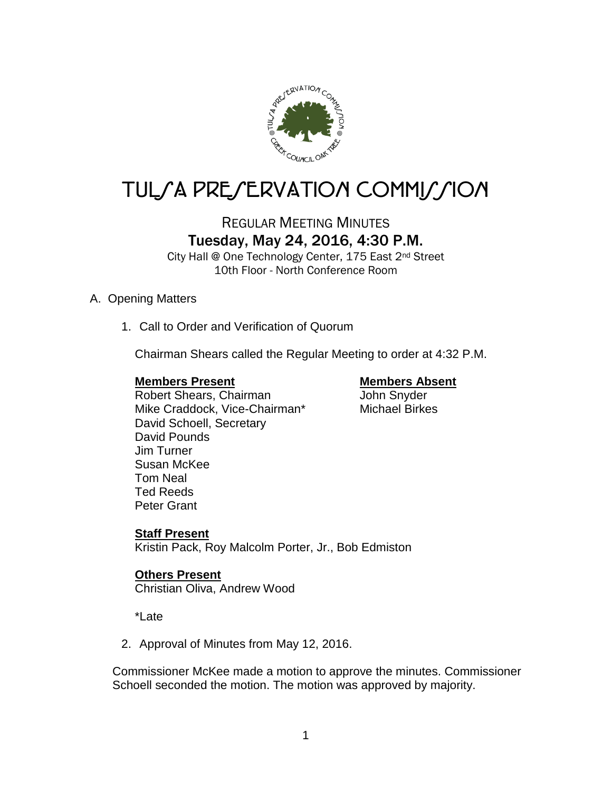

# TUL/A PRE/ERVATION COMMI*J*/ION

# REGULAR MEETING MINUTES Tuesday, May 24, 2016, 4:30 P.M.

City Hall @ One Technology Center, 175 East 2<sup>nd</sup> Street 10th Floor - North Conference Room

## A. Opening Matters

1. Call to Order and Verification of Quorum

Chairman Shears called the Regular Meeting to order at 4:32 P.M.

## **Members Present Members Absent**

Robert Shears, Chairman and John Snyder<br>
Mike Craddock, Vice-Chairman\* Michael Birkes Mike Craddock, Vice-Chairman\* David Schoell, Secretary David Pounds Jim Turner Susan McKee Tom Neal Ted Reeds Peter Grant

# **Staff Present**

Kristin Pack, Roy Malcolm Porter, Jr., Bob Edmiston

# **Others Present**

Christian Oliva, Andrew Wood

\*Late

2. Approval of Minutes from May 12, 2016.

Commissioner McKee made a motion to approve the minutes. Commissioner Schoell seconded the motion. The motion was approved by majority.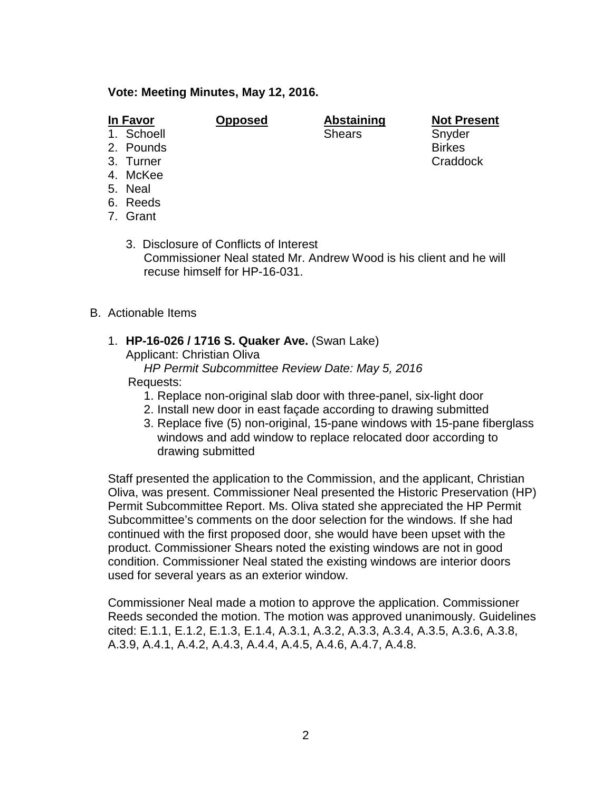### **Vote: Meeting Minutes, May 12, 2016.**

- 
- 1. Schoell Shears Shears Snyder
- 2. Pounds Birkes
- 3. Turner Craddock and Craddock and Craddock Craddock Craddock
- 4. McKee
- 5. Neal
- 6. Reeds
- 7. Grant
	- 3. Disclosure of Conflicts of Interest Commissioner Neal stated Mr. Andrew Wood is his client and he will recuse himself for HP-16-031.
- B. Actionable Items
	- 1. **HP-16-026 / 1716 S. Quaker Ave.** (Swan Lake) Applicant: Christian Oliva
		- *HP Permit Subcommittee Review Date: May 5, 2016*

### Requests:

- 1. Replace non-original slab door with three-panel, six-light door
- 2. Install new door in east façade according to drawing submitted
- 3. Replace five (5) non-original, 15-pane windows with 15-pane fiberglass windows and add window to replace relocated door according to drawing submitted

Staff presented the application to the Commission, and the applicant, Christian Oliva, was present. Commissioner Neal presented the Historic Preservation (HP) Permit Subcommittee Report. Ms. Oliva stated she appreciated the HP Permit Subcommittee's comments on the door selection for the windows. If she had continued with the first proposed door, she would have been upset with the product. Commissioner Shears noted the existing windows are not in good condition. Commissioner Neal stated the existing windows are interior doors used for several years as an exterior window.

Commissioner Neal made a motion to approve the application. Commissioner Reeds seconded the motion. The motion was approved unanimously. Guidelines cited: E.1.1, E.1.2, E.1.3, E.1.4, A.3.1, A.3.2, A.3.3, A.3.4, A.3.5, A.3.6, A.3.8, A.3.9, A.4.1, A.4.2, A.4.3, A.4.4, A.4.5, A.4.6, A.4.7, A.4.8.

**In Favor Opposed Abstaining Not Present**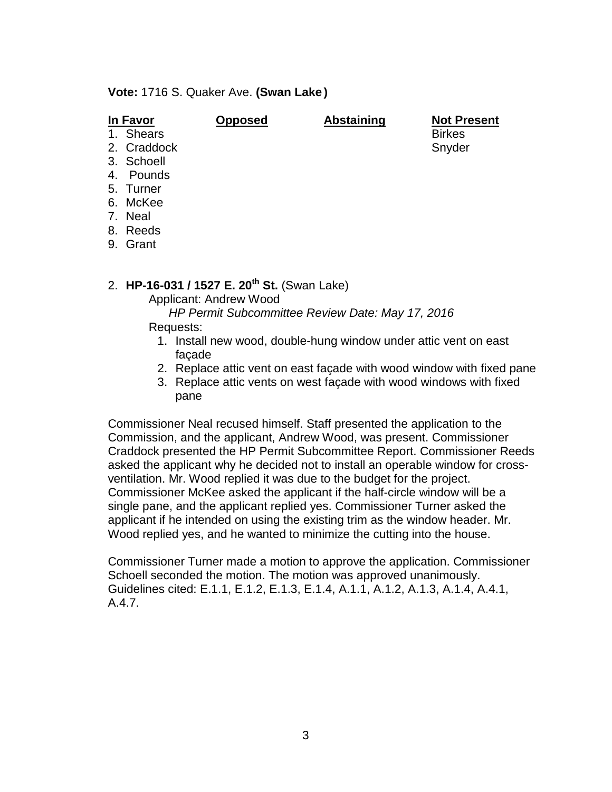**Vote:** 1716 S. Quaker Ave. **(Swan Lake )**

| In Favor |             | <b>Opposed</b> | <b>Abstaining</b> | <b>Not Present</b> |
|----------|-------------|----------------|-------------------|--------------------|
|          | 1. Shears   |                |                   | <b>Birkes</b>      |
|          | 2. Craddock |                |                   | Snyder             |
|          | 3. Schoell  |                |                   |                    |
| 4.       | Pounds      |                |                   |                    |
|          | 5. Turner   |                |                   |                    |
|          | 6. McKee    |                |                   |                    |
|          | 7. Neal     |                |                   |                    |
|          | 8. Reeds    |                |                   |                    |
| 9.       | Grant       |                |                   |                    |

2. **HP-16-031 / 1527 E. 20th St.** (Swan Lake)

Applicant: Andrew Wood

 *HP Permit Subcommittee Review Date: May 17, 2016* Requests:

- 1. Install new wood, double-hung window under attic vent on east façade
- 2. Replace attic vent on east façade with wood window with fixed pane
- 3. Replace attic vents on west façade with wood windows with fixed pane

Commissioner Neal recused himself. Staff presented the application to the Commission, and the applicant, Andrew Wood, was present. Commissioner Craddock presented the HP Permit Subcommittee Report. Commissioner Reeds asked the applicant why he decided not to install an operable window for crossventilation. Mr. Wood replied it was due to the budget for the project. Commissioner McKee asked the applicant if the half-circle window will be a single pane, and the applicant replied yes. Commissioner Turner asked the applicant if he intended on using the existing trim as the window header. Mr. Wood replied yes, and he wanted to minimize the cutting into the house.

Commissioner Turner made a motion to approve the application. Commissioner Schoell seconded the motion. The motion was approved unanimously. Guidelines cited: E.1.1, E.1.2, E.1.3, E.1.4, A.1.1, A.1.2, A.1.3, A.1.4, A.4.1, A.4.7.